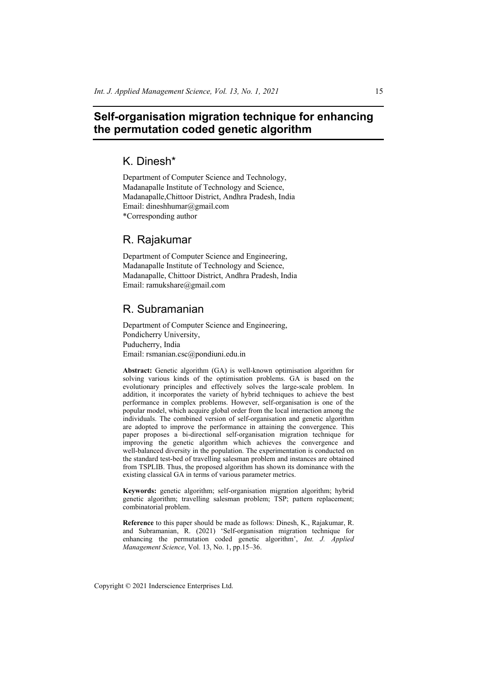## **Self-organisation migration technique for enhancing the permutation coded genetic algorithm**

# K. Dinesh\*

Department of Computer Science and Technology, Madanapalle Institute of Technology and Science, Madanapalle,Chittoor District, Andhra Pradesh, India Email: dineshhumar@gmail.com \*Corresponding author

## R. Rajakumar

Department of Computer Science and Engineering, Madanapalle Institute of Technology and Science, Madanapalle, Chittoor District, Andhra Pradesh, India Email: ramukshare@gmail.com

# R. Subramanian

Department of Computer Science and Engineering, Pondicherry University, Puducherry, India Email: rsmanian.csc@pondiuni.edu.in

**Abstract:** Genetic algorithm (GA) is well-known optimisation algorithm for solving various kinds of the optimisation problems. GA is based on the evolutionary principles and effectively solves the large-scale problem. In addition, it incorporates the variety of hybrid techniques to achieve the best performance in complex problems. However, self-organisation is one of the popular model, which acquire global order from the local interaction among the individuals. The combined version of self-organisation and genetic algorithm are adopted to improve the performance in attaining the convergence. This paper proposes a bi-directional self-organisation migration technique for improving the genetic algorithm which achieves the convergence and well-balanced diversity in the population. The experimentation is conducted on the standard test-bed of travelling salesman problem and instances are obtained from TSPLIB. Thus, the proposed algorithm has shown its dominance with the existing classical GA in terms of various parameter metrics.

**Keywords:** genetic algorithm; self-organisation migration algorithm; hybrid genetic algorithm; travelling salesman problem; TSP; pattern replacement; combinatorial problem.

**Reference** to this paper should be made as follows: Dinesh, K., Rajakumar, R. and Subramanian, R. (2021) 'Self-organisation migration technique for enhancing the permutation coded genetic algorithm', *Int. J. Applied Management Science*, Vol. 13, No. 1, pp.15–36.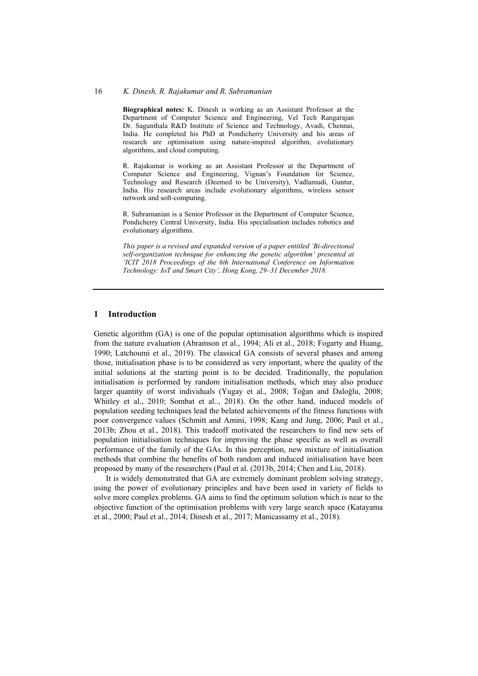#### 16 *K. Dinesh, R. Rajakumar and R. Subramanian*

**Biographical notes:** K. Dinesh is working as an Assistant Professor at the Department of Computer Science and Engineering, Vel Tech Rangarajan Dr. Sagunthala R&D Institute of Science and Technology, Avadi, Chennai, India. He completed his PhD at Pondicherry University and his areas of research are optimisation using nature-inspired algorithm, evolutionary algorithms, and cloud computing.

R. Rajakumar is working as an Assistant Professor at the Department of Computer Science and Engineering, Vignan's Foundation for Science, Technology and Research (Deemed to be University), Vadlamudi, Guntur, India. His research areas include evolutionary algorithms, wireless sensor network and soft-computing.

R. Subramanian is a Senior Professor in the Department of Computer Science, Pondicherry Central University, India. His specialisation includes robotics and evolutionary algorithms.

*This paper is a revised and expanded version of a paper entitled 'Bi-directional self-organization technique for enhancing the genetic algorithm' presented at 'ICIT 2018 Proceedings of the 6th International Conference on Information Technology: IoT and Smart City', Hong Kong, 29–31 December 2018.* 

## **1 Introduction**

Genetic algorithm (GA) is one of the popular optimisation algorithms which is inspired from the nature evaluation (Abramson et al., 1994; Ali et al., 2018; Fogarty and Huang, 1990; Latchoumi et al., 2019). The classical GA consists of several phases and among those, initialisation phase is to be considered as very important, where the quality of the initial solutions at the starting point is to be decided. Traditionally, the population initialisation is performed by random initialisation methods, which may also produce larger quantity of worst individuals (Yugay et al., 2008; Toğan and Daloğlu, 2008; Whitley et al., 2010; Sombat et al.., 2018). On the other hand, induced models of population seeding techniques lead the belated achievements of the fitness functions with poor convergence values (Schmitt and Amini, 1998; Kang and Jung, 2006; Paul et al., 2013b; Zhou et al., 2018). This tradeoff motivated the researchers to find new sets of population initialisation techniques for improving the phase specific as well as overall performance of the family of the GAs. In this perception, new mixture of initialisation methods that combine the benefits of both random and induced initialisation have been proposed by many of the researchers (Paul et al. (2013b, 2014; Chen and Liu, 2018).

It is widely demonstrated that GA are extremely dominant problem solving strategy, using the power of evolutionary principles and have been used in variety of fields to solve more complex problems. GA aims to find the optimum solution which is near to the objective function of the optimisation problems with very large search space (Katayama et al., 2000; Paul et al., 2014; Dinesh et al., 2017; Manicassamy et al., 2018).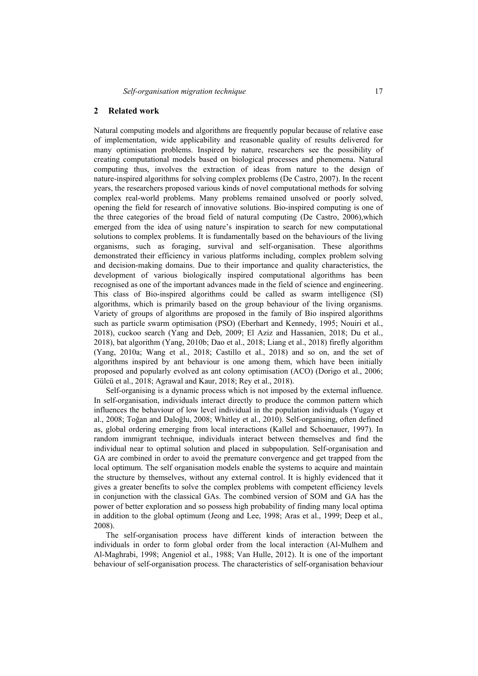#### **2 Related work**

Natural computing models and algorithms are frequently popular because of relative ease of implementation, wide applicability and reasonable quality of results delivered for many optimisation problems. Inspired by nature, researchers see the possibility of creating computational models based on biological processes and phenomena. Natural computing thus, involves the extraction of ideas from nature to the design of nature-inspired algorithms for solving complex problems (De Castro, 2007). In the recent years, the researchers proposed various kinds of novel computational methods for solving complex real-world problems. Many problems remained unsolved or poorly solved, opening the field for research of innovative solutions. Bio-inspired computing is one of the three categories of the broad field of natural computing (De Castro, 2006),which emerged from the idea of using nature's inspiration to search for new computational solutions to complex problems. It is fundamentally based on the behaviours of the living organisms, such as foraging, survival and self-organisation. These algorithms demonstrated their efficiency in various platforms including, complex problem solving and decision-making domains. Due to their importance and quality characteristics, the development of various biologically inspired computational algorithms has been recognised as one of the important advances made in the field of science and engineering. This class of Bio-inspired algorithms could be called as swarm intelligence (SI) algorithms, which is primarily based on the group behaviour of the living organisms. Variety of groups of algorithms are proposed in the family of Bio inspired algorithms such as particle swarm optimisation (PSO) (Eberhart and Kennedy, 1995; Nouiri et al., 2018), cuckoo search (Yang and Deb, 2009; El Aziz and Hassanien, 2018; Du et al., 2018), bat algorithm (Yang, 2010b; Dao et al., 2018; Liang et al., 2018) firefly algorithm (Yang, 2010a; Wang et al., 2018; Castillo et al., 2018) and so on, and the set of algorithms inspired by ant behaviour is one among them, which have been initially proposed and popularly evolved as ant colony optimisation (ACO) (Dorigo et al., 2006; Gülcü et al., 2018; Agrawal and Kaur, 2018; Rey et al., 2018).

Self-organising is a dynamic process which is not imposed by the external influence. In self-organisation, individuals interact directly to produce the common pattern which influences the behaviour of low level individual in the population individuals (Yugay et al., 2008; Toğan and Daloğlu, 2008; Whitley et al., 2010). Self-organising, often defined as, global ordering emerging from local interactions (Kallel and Schoenauer, 1997). In random immigrant technique, individuals interact between themselves and find the individual near to optimal solution and placed in subpopulation. Self-organisation and GA are combined in order to avoid the premature convergence and get trapped from the local optimum. The self organisation models enable the systems to acquire and maintain the structure by themselves, without any external control. It is highly evidenced that it gives a greater benefits to solve the complex problems with competent efficiency levels in conjunction with the classical GAs. The combined version of SOM and GA has the power of better exploration and so possess high probability of finding many local optima in addition to the global optimum (Jeong and Lee, 1998; Aras et al., 1999; Deep et al., 2008).

The self-organisation process have different kinds of interaction between the individuals in order to form global order from the local interaction (Al-Mulhem and Al-Maghrabi, 1998; Angeniol et al., 1988; Van Hulle, 2012). It is one of the important behaviour of self-organisation process. The characteristics of self-organisation behaviour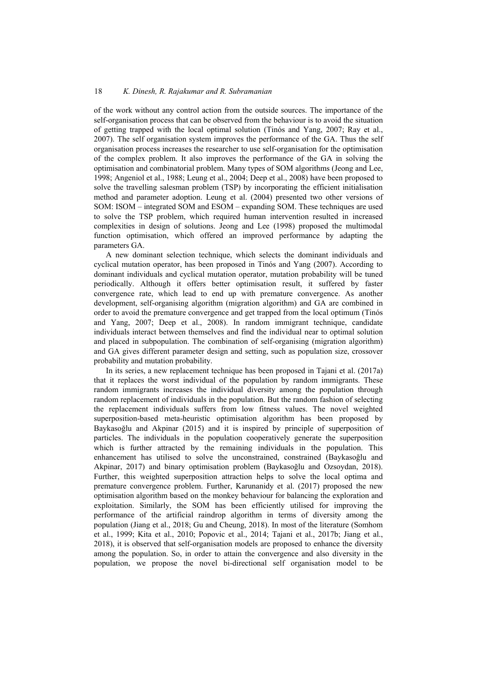of the work without any control action from the outside sources. The importance of the self-organisation process that can be observed from the behaviour is to avoid the situation of getting trapped with the local optimal solution (Tinós and Yang, 2007; Ray et al., 2007). The self organisation system improves the performance of the GA. Thus the self organisation process increases the researcher to use self-organisation for the optimisation of the complex problem. It also improves the performance of the GA in solving the optimisation and combinatorial problem. Many types of SOM algorithms (Jeong and Lee, 1998; Angeniol et al., 1988; Leung et al., 2004; Deep et al., 2008) have been proposed to solve the travelling salesman problem (TSP) by incorporating the efficient initialisation method and parameter adoption. Leung et al. (2004) presented two other versions of SOM: ISOM – integrated SOM and ESOM – expanding SOM. These techniques are used to solve the TSP problem, which required human intervention resulted in increased complexities in design of solutions. Jeong and Lee (1998) proposed the multimodal function optimisation, which offered an improved performance by adapting the parameters GA.

A new dominant selection technique, which selects the dominant individuals and cyclical mutation operator, has been proposed in Tinós and Yang (2007). According to dominant individuals and cyclical mutation operator, mutation probability will be tuned periodically. Although it offers better optimisation result, it suffered by faster convergence rate, which lead to end up with premature convergence. As another development, self-organising algorithm (migration algorithm) and GA are combined in order to avoid the premature convergence and get trapped from the local optimum (Tinós and Yang, 2007; Deep et al., 2008). In random immigrant technique, candidate individuals interact between themselves and find the individual near to optimal solution and placed in subpopulation. The combination of self-organising (migration algorithm) and GA gives different parameter design and setting, such as population size, crossover probability and mutation probability.

In its series, a new replacement technique has been proposed in Tajani et al. (2017a) that it replaces the worst individual of the population by random immigrants. These random immigrants increases the individual diversity among the population through random replacement of individuals in the population. But the random fashion of selecting the replacement individuals suffers from low fitness values. The novel weighted superposition-based meta-heuristic optimisation algorithm has been proposed by Baykasoğlu and Akpinar (2015) and it is inspired by principle of superposition of particles. The individuals in the population cooperatively generate the superposition which is further attracted by the remaining individuals in the population. This enhancement has utilised to solve the unconstrained, constrained (Baykasoğlu and Akpinar, 2017) and binary optimisation problem (Baykasoğlu and Ozsoydan, 2018). Further, this weighted superposition attraction helps to solve the local optima and premature convergence problem. Further, Karunanidy et al. (2017) proposed the new optimisation algorithm based on the monkey behaviour for balancing the exploration and exploitation. Similarly, the SOM has been efficiently utilised for improving the performance of the artificial raindrop algorithm in terms of diversity among the population (Jiang et al., 2018; Gu and Cheung, 2018). In most of the literature (Somhom et al., 1999; Kita et al., 2010; Popovic et al., 2014; Tajani et al., 2017b; Jiang et al., 2018), it is observed that self-organisation models are proposed to enhance the diversity among the population. So, in order to attain the convergence and also diversity in the population, we propose the novel bi-directional self organisation model to be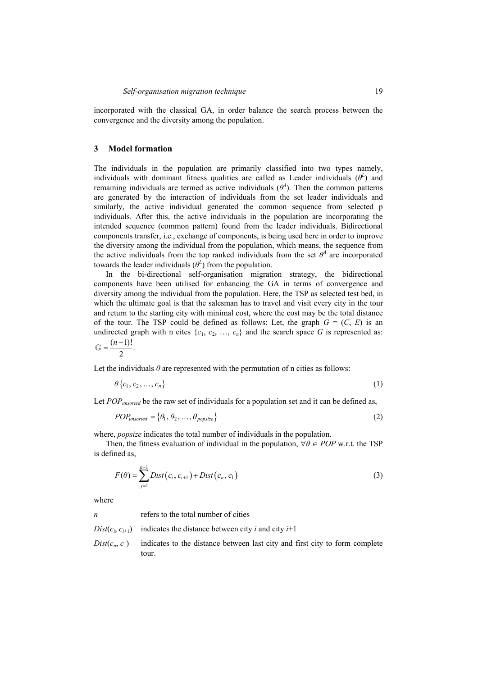incorporated with the classical GA, in order balance the search process between the convergence and the diversity among the population.

#### **3 Model formation**

The individuals in the population are primarily classified into two types namely, individuals with dominant fitness qualities are called as Leader individuals  $(\theta^L)$  and remaining individuals are termed as active individuals  $(\theta^4)$ . Then the common patterns are generated by the interaction of individuals from the set leader individuals and similarly, the active individual generated the common sequence from selected p individuals. After this, the active individuals in the population are incorporating the intended sequence (common pattern) found from the leader individuals. Bidirectional components transfer, i.e., exchange of components, is being used here in order to improve the diversity among the individual from the population, which means, the sequence from the active individuals from the top ranked individuals from the set  $\theta^4$  are incorporated towards the leader individuals  $(\theta^L)$  from the population.

In the bi-directional self-organisation migration strategy, the bidirectional components have been utilised for enhancing the GA in terms of convergence and diversity among the individual from the population. Here, the TSP as selected test bed, in which the ultimate goal is that the salesman has to travel and visit every city in the tour and return to the starting city with minimal cost, where the cost may be the total distance of the tour. The TSP could be defined as follows: Let, the graph  $G = (C, E)$  is an undirected graph with n cites  $\{c_1, c_2, ..., c_n\}$  and the search space *G* is represented as:  $\mathbb{G} = \frac{(n-1)!}{2}.$ 

Let the individuals  $\theta$  are represented with the permutation of n cities as follows:

$$
\theta\{c_1, c_2, \ldots, c_n\} \tag{1}
$$

Let *POP<sub>unsorted</sub>* be the raw set of individuals for a population set and it can be defined as,

$$
POP_{unsorted} = \{ \theta_1, \theta_2, \dots, \theta_{popsize} \}
$$
 (2)

where, *popsize* indicates the total number of individuals in the population.

Then, the fitness evaluation of individual in the population,  $\forall \theta \in POP$  w.r.t. the TSP is defined as,

$$
F(\theta) = \sum_{j=1}^{n-1} Dist(c_i, c_{i+1}) + Dist(c_n, c_1)
$$
\n(3)

where

*n* refers to the total number of cities

- *Dist*( $c_i$ ,  $c_{i+1}$ ) indicates the distance between city *i* and city *i*+1
- $Dist(c_n, c_1)$  indicates to the distance between last city and first city to form complete tour.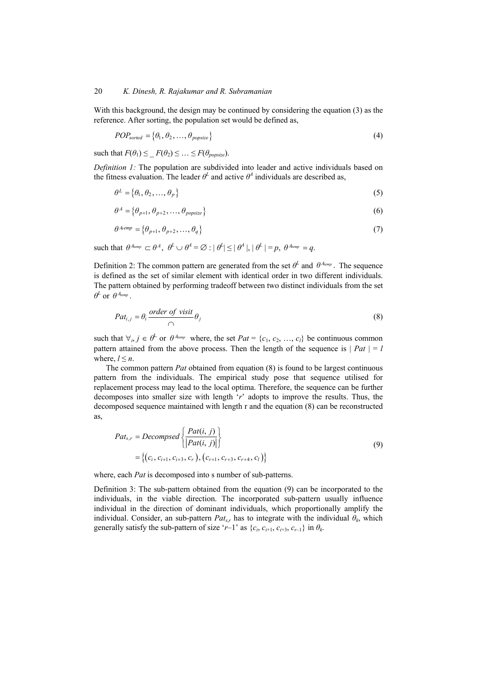With this background, the design may be continued by considering the equation (3) as the reference. After sorting, the population set would be defined as,

$$
POP_{sorted} = \{ \theta_1, \theta_2, \dots, \theta_{popsize} \}
$$
\n
$$
(4)
$$

such that  $F(\theta_1) \leq F(\theta_2) \leq \ldots \leq F(\theta_{\text{nonsize}})$ .

*Definition 1:* The population are subdivided into leader and active individuals based on the fitness evaluation. The leader  $\theta^L$  and active  $\theta^A$  individuals are described as,

$$
\theta^L = \{\theta_1, \theta_2, \dots, \theta_p\} \tag{5}
$$

$$
\theta^A = \{ \theta_{p+1}, \theta_{p+2}, \dots, \theta_{popsize} \}
$$
\n<sup>(6)</sup>

$$
\theta^{A,emp} = \{ \theta_{p+1}, \theta_{p+2}, \dots, \theta_q \}
$$
 (7)

such that  $\theta^{A_{temp}} \subset \theta^A$ ,  $\theta^L \cup \theta^A = \varnothing$  :  $|\theta^L| \leq |\theta^A|$ ,  $|\theta^L| = p$ ,  $\theta^{A_{temp}} = q$ .

Definition 2: The common pattern are generated from the set  $\theta^L$  and  $\theta^{A_{temp}}$ . The sequence is defined as the set of similar element with identical order in two different individuals. The pattern obtained by performing tradeoff between two distinct individuals from the set  $\theta^L$  or  $\theta^{A_{temp}}$  .

$$
Pat_{i,j} = \theta_i \frac{order \ of \ visit}{\bigcap} \theta_j \tag{8}
$$

such that  $\forall i, j \in \theta^L$  or  $\theta^{A_{temp}}$  where, the set  $Pat = \{c_1, c_2, ..., c_l\}$  be continuous common pattern attained from the above process. Then the length of the sequence is  $| Pat | = l$ where,  $l \leq n$ .

The common pattern *Pat* obtained from equation (8) is found to be largest continuous pattern from the individuals. The empirical study pose that sequence utilised for replacement process may lead to the local optima. Therefore, the sequence can be further decomposes into smaller size with length '*r*' adopts to improve the results. Thus, the decomposed sequence maintained with length r and the equation (8) can be reconstructed as,

$$
Pat_{s,r} = Decomposed \left\{ \frac{Pat(i, j)}{|Pat(i, j)|} \right\}
$$
  
=  $\left\{ (c_i, c_{i+1}, c_{i+3}, c_r), (c_{r+1}, c_{r+3}, c_{r+4}, c_l) \right\}$  (9)

where, each *Pat* is decomposed into s number of sub-patterns.

Definition 3: The sub-pattern obtained from the equation (9) can be incorporated to the individuals, in the viable direction. The incorporated sub-pattern usually influence individual in the direction of dominant individuals, which proportionally amplify the individual. Consider, an sub-pattern  $Pat_{sr}$  has to integrate with the individual  $\theta_k$ , which generally satisfy the sub-pattern of size '*r*-1' as  $\{c_i, c_{i+1}, c_{i+3}, c_{i-1}\}$  in  $\theta_k$ .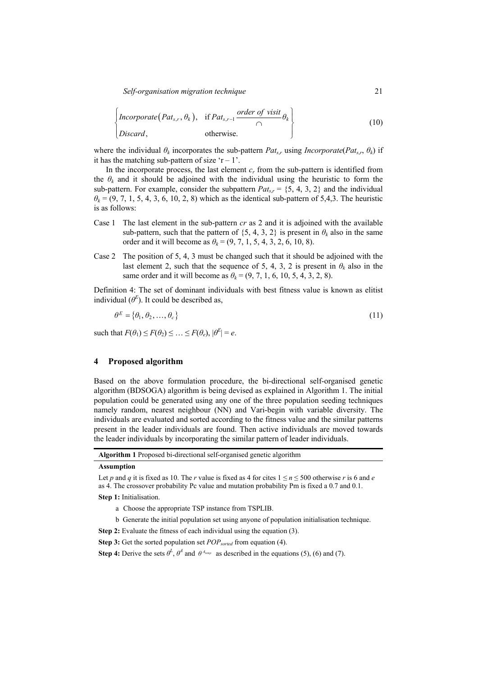$$
\begin{Bmatrix} \text{Incorporate}(Pat_{s,r}, \theta_k), & \text{if} \, Pat_{s,r-1} \, \frac{\text{order of} \, \text{visit}}{\cap} \theta_k \\ \text{Discard}, & \text{otherwise.} \end{Bmatrix} \tag{10}
$$

where the individual  $\theta_k$  incorporates the sub-pattern  $Pat_{sr}$  using *Incorporate*( $Pat_{sr}$ ,  $\theta_k$ ) if it has the matching sub-pattern of size  $r - 1$ .

In the incorporate process, the last element *cr* from the sub-pattern is identified from the  $\theta_k$  and it should be adjoined with the individual using the heuristic to form the sub-pattern. For example, consider the subpattern  $Pat_{sr} = \{5, 4, 3, 2\}$  and the individual  $\theta_k$  = (9, 7, 1, 5, 4, 3, 6, 10, 2, 8) which as the identical sub-pattern of 5,4,3. The heuristic is as follows:

- Case 1 The last element in the sub-pattern *cr* as 2 and it is adjoined with the available sub-pattern, such that the pattern of  $\{5, 4, 3, 2\}$  is present in  $\theta_k$  also in the same order and it will become as  $\theta_k = (9, 7, 1, 5, 4, 3, 2, 6, 10, 8)$ .
- Case 2 The position of 5, 4, 3 must be changed such that it should be adjoined with the last element 2, such that the sequence of 5, 4, 3, 2 is present in  $\theta_k$  also in the same order and it will become as  $\theta_k = (9, 7, 1, 6, 10, 5, 4, 3, 2, 8)$ .

Definition 4: The set of dominant individuals with best fitness value is known as elitist individual  $(\theta^E)$ . It could be described as,

$$
\theta^E = \{\theta_1, \theta_2, \dots, \theta_c\} \tag{11}
$$

such that  $F(\theta_1) \leq F(\theta_2) \leq \ldots \leq F(\theta_e), |\theta^E| = e$ .

#### **4 Proposed algorithm**

Based on the above formulation procedure, the bi-directional self-organised genetic algorithm (BDSOGA) algorithm is being devised as explained in Algorithm 1. The initial population could be generated using any one of the three population seeding techniques namely random, nearest neighbour (NN) and Vari-begin with variable diversity. The individuals are evaluated and sorted according to the fitness value and the similar patterns present in the leader individuals are found. Then active individuals are moved towards the leader individuals by incorporating the similar pattern of leader individuals.

**Algorithm 1** Proposed bi-directional self-organised genetic algorithm

#### **Assumption**

**Step 1:** Initialisation.

- a Choose the appropriate TSP instance from TSPLIB.
- b Generate the initial population set using anyone of population initialisation technique.

**Step 2:** Evaluate the fitness of each individual using the equation (3).

**Step 3:** Get the sorted population set *POP*<sub>sorted</sub> from equation (4).

**Step 4:** Derive the sets  $\theta^L$ ,  $\theta^A$  and  $\theta^{A_{temp}}$  as described in the equations (5), (6) and (7).

Let *p* and *q* it is fixed as 10. The *r* value is fixed as 4 for cites  $1 \le n \le 500$  otherwise *r* is 6 and *e* as 4. The crossover probability Pc value and mutation probability Pm is fixed a 0.7 and 0.1.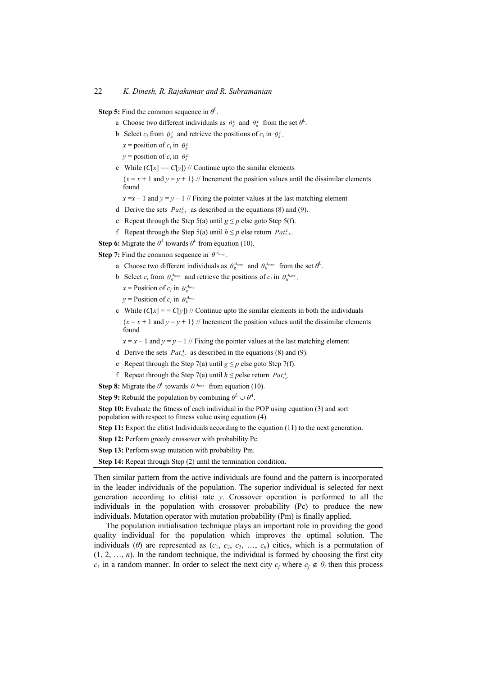**Step 5:** Find the common sequence in  $\theta^L$ .

- a Choose two different individuals as  $\theta_g^L$  and  $\theta_h^L$  from the set  $\theta^L$ .
- b Select  $c_i$  from  $\theta_g^L$  and retrieve the positions of  $c_i$  in  $\theta_h^L$ .
	- $x =$  position of  $c_i$  in  $\theta_g^L$
	- *y* = position of  $c_i$  in  $\theta_h^L$
- c While  $(C[x] == C[y])$  // Continue upto the similar elements

 ${x = x + 1}$  and  ${y = y + 1}$  // Increment the position values until the dissimilar elements found

 $x = x - 1$  and  $y = y - 1$  // Fixing the pointer values at the last matching element

- d Derive the sets  $Pat_{s,r}^L$  as described in the equations (8) and (9).
- e Repeat through the Step 5(a) until  $g \leq p$  else goto Step 5(f).
- f Repeat through the Step 5(a) until  $h \leq p$  else return  $Pat_{r}^L$ .
- **Step 6:** Migrate the  $\theta^4$  towards  $\theta^L$  from equation (10).

**Step 7:** Find the common sequence in  $\theta^{A_{temp}}$ .

- a Choose two different individuals as  $\theta_g^{A_{temp}}$  and  $\theta_h^{A_{temp}}$  from the set  $\theta^L$ .
- b Select  $c_i$  from  $\theta_{\sigma}^{A_{temp}}$  and retrieve the positions of  $c_i$  in  $\theta_{\sigma}^{A_{temp}}$ .
	- $x =$  Position of  $c_i$  in  $\theta_g^{A_{temp}}$
	- $y =$  **Position of** *c<sub>i</sub>* **in**  $\theta_h^{A_{temp}}$
- c While  $(C[x] = C[y])$  // Continue upto the similar elements in both the individuals  ${x = x + 1}$  and  ${y = y + 1}$  // Increment the position values until the dissimilar elements found

 $x = x - 1$  and  $y = y - 1$  // Fixing the pointer values at the last matching element

- d Derive the sets  $Pat_{s,r}^A$  as described in the equations (8) and (9).
- e Repeat through the Step 7(a) until  $g \leq p$  else goto Step 7(f).
- f Repeat through the Step 7(a) until  $h \leq$  *p*else return  $Pat_{s,r}^A$ .

**Step 8:** Migrate the  $\theta^L$  towards  $\theta^{A_{temp}}$  from equation (10).

**Step 9:** Rebuild the population by combining  $\theta^L \cup \theta^4$ .

**Step 10:** Evaluate the fitness of each individual in the POP using equation (3) and sort population with respect to fitness value using equation (4).

**Step 11:** Export the elitist Individuals according to the equation (11) to the next generation.

**Step 12:** Perform greedy crossover with probability Pc.

**Step 13:** Perform swap mutation with probability Pm.

**Step 14:** Repeat through Step (2) until the termination condition.

Then similar pattern from the active individuals are found and the pattern is incorporated in the leader individuals of the population. The superior individual is selected for next generation according to elitist rate *y*. Crossover operation is performed to all the individuals in the population with crossover probability (Pc) to produce the new individuals. Mutation operator with mutation probability (Pm) is finally applied.

The population initialisation technique plays an important role in providing the good quality individual for the population which improves the optimal solution. The individuals ( $\theta$ ) are represented as  $(c_1, c_2, c_3, ..., c_n)$  cities, which is a permutation of  $(1, 2, \ldots, n)$ . In the random technique, the individual is formed by choosing the first city *c*<sub>1</sub> in a random manner. In order to select the next city  $c_i$  where  $c_i \notin \theta_i$  then this process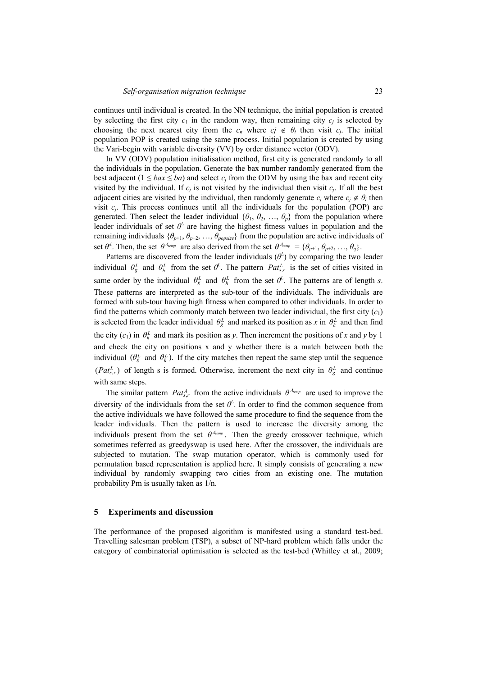continues until individual is created. In the NN technique, the initial population is created by selecting the first city  $c_1$  in the random way, then remaining city  $c_i$  is selected by choosing the next nearest city from the  $c_n$  where  $c_j \notin \theta_i$  then visit  $c_j$ . The initial population POP is created using the same process. Initial population is created by using the Vari-begin with variable diversity (VV) by order distance vector (ODV).

In VV (ODV) population initialisation method, first city is generated randomly to all the individuals in the population. Generate the bax number randomly generated from the best adjacent ( $1 \leq bax \leq ba$ ) and select  $c_i$  from the ODM by using the bax and recent city visited by the individual. If  $c_i$  is not visited by the individual then visit  $c_i$ . If all the best adjacent cities are visited by the individual, then randomly generate  $c_i$  where  $c_i \notin \theta_i$  then visit  $c_i$ . This process continues until all the individuals for the population (POP) are generated. Then select the leader individual  $\{\theta_1, \theta_2, \dots, \theta_n\}$  from the population where leader individuals of set  $\theta^L$  are having the highest fitness values in population and the remaining individuals  $\{\theta_{p+1}, \theta_{p+2}, \dots, \theta_{\text{possible}}\}$  from the population are active individuals of set  $\theta^A$ . Then, the set  $\theta^{A_{temp}}$  are also derived from the set  $\theta^{A_{temp}} = {\theta_{p+1}, \theta_{p+2}, ..., \theta_q}.$ 

Patterns are discovered from the leader individuals  $(\theta^L)$  by comparing the two leader individual  $\theta_g^L$  and  $\theta_h^L$  from the set  $\theta^L$ . The pattern  $Pat_{s,r}^L$  is the set of cities visited in same order by the individual  $\theta_g^L$  and  $\theta_h^L$  from the set  $\theta^L$ . The patterns are of length *s*. These patterns are interpreted as the sub-tour of the individuals. The individuals are formed with sub-tour having high fitness when compared to other individuals. In order to find the patterns which commonly match between two leader individual, the first city  $(c_1)$ is selected from the leader individual  $\theta_g^L$  and marked its position as *x* in  $\theta_h^L$  and then find the city  $(c_1)$  in  $\theta_h^L$  and mark its position as *y*. Then increment the positions of *x* and *y* by 1 and check the city on positions x and y whether there is a match between both the individual  $(\theta_g^L$  and  $\theta_h^L)$ . If the city matches then repeat the same step until the sequence  $(Pat_{s,r}^L)$  of length s is formed. Otherwise, increment the next city in  $\theta_g^L$  and continue with same steps.

The similar pattern  $Pat_{s,r}^A$  from the active individuals  $\theta^{A_{temp}}$  are used to improve the diversity of the individuals from the set  $\theta^L$ . In order to find the common sequence from the active individuals we have followed the same procedure to find the sequence from the leader individuals. Then the pattern is used to increase the diversity among the individuals present from the set  $\theta^{A_{temp}}$ . Then the greedy crossover technique, which sometimes referred as greedyswap is used here. After the crossover, the individuals are subjected to mutation. The swap mutation operator, which is commonly used for permutation based representation is applied here. It simply consists of generating a new individual by randomly swapping two cities from an existing one. The mutation probability Pm is usually taken as 1/n.

#### **5 Experiments and discussion**

The performance of the proposed algorithm is manifested using a standard test-bed. Travelling salesman problem (TSP), a subset of NP-hard problem which falls under the category of combinatorial optimisation is selected as the test-bed (Whitley et al., 2009;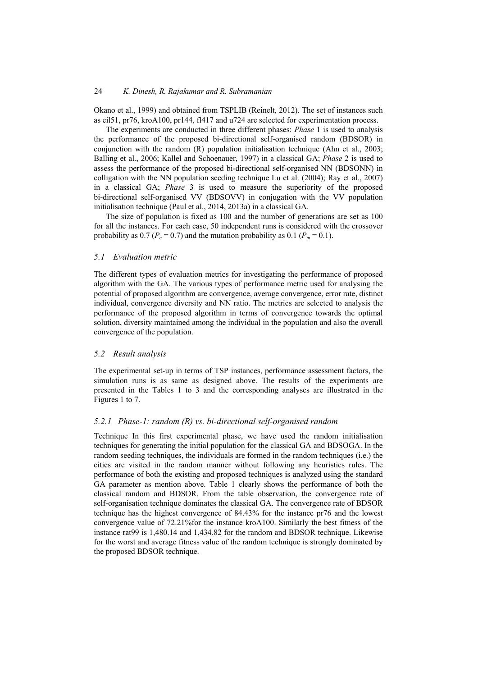Okano et al., 1999) and obtained from TSPLIB (Reinelt, 2012). The set of instances such as eil51, pr76, kroA100, pr144, fl417 and u724 are selected for experimentation process.

The experiments are conducted in three different phases: *Phase* 1 is used to analysis the performance of the proposed bi-directional self-organised random (BDSOR) in conjunction with the random (R) population initialisation technique (Ahn et al., 2003; Balling et al., 2006; Kallel and Schoenauer, 1997) in a classical GA; *Phase* 2 is used to assess the performance of the proposed bi-directional self-organised NN (BDSONN) in colligation with the NN population seeding technique Lu et al. (2004); Ray et al., 2007) in a classical GA; *Phase* 3 is used to measure the superiority of the proposed bi-directional self-organised VV (BDSOVV) in conjugation with the VV population initialisation technique (Paul et al., 2014, 2013a) in a classical GA.

The size of population is fixed as 100 and the number of generations are set as 100 for all the instances. For each case, 50 independent runs is considered with the crossover probability as 0.7 ( $P_c = 0.7$ ) and the mutation probability as 0.1 ( $P_m = 0.1$ ).

## *5.1 Evaluation metric*

The different types of evaluation metrics for investigating the performance of proposed algorithm with the GA. The various types of performance metric used for analysing the potential of proposed algorithm are convergence, average convergence, error rate, distinct individual, convergence diversity and NN ratio. The metrics are selected to analysis the performance of the proposed algorithm in terms of convergence towards the optimal solution, diversity maintained among the individual in the population and also the overall convergence of the population.

## *5.2 Result analysis*

The experimental set-up in terms of TSP instances, performance assessment factors, the simulation runs is as same as designed above. The results of the experiments are presented in the Tables 1 to 3 and the corresponding analyses are illustrated in the Figures 1 to 7.

## *5.2.1 Phase-1: random (R) vs. bi-directional self-organised random*

Technique In this first experimental phase, we have used the random initialisation techniques for generating the initial population for the classical GA and BDSOGA. In the random seeding techniques, the individuals are formed in the random techniques (i.e.) the cities are visited in the random manner without following any heuristics rules. The performance of both the existing and proposed techniques is analyzed using the standard GA parameter as mention above. Table 1 clearly shows the performance of both the classical random and BDSOR. From the table observation, the convergence rate of self-organisation technique dominates the classical GA. The convergence rate of BDSOR technique has the highest convergence of 84.43% for the instance pr76 and the lowest convergence value of 72.21%for the instance kroA100. Similarly the best fitness of the instance rat99 is 1,480.14 and 1,434.82 for the random and BDSOR technique. Likewise for the worst and average fitness value of the random technique is strongly dominated by the proposed BDSOR technique.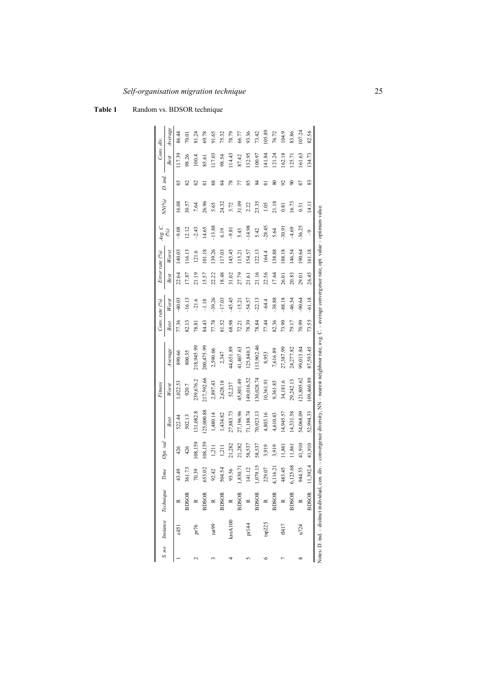|   | S. no Instance Technique |              | Time     | Opt. val        |              | Fitness    |                                                                                                                                                                           |       | Conv. rate (%) |       | Error rate (%) | Avg. C.  | NN(%) | D. ind | Conv. div. |         |
|---|--------------------------|--------------|----------|-----------------|--------------|------------|---------------------------------------------------------------------------------------------------------------------------------------------------------------------------|-------|----------------|-------|----------------|----------|-------|--------|------------|---------|
|   |                          |              |          |                 | <b>Best</b>  | Worst      | Average                                                                                                                                                                   | Best  | Worst          | Best  | Worst          | E        |       |        | Best       | Average |
|   | eil51                    |              | 43.49    | 426             | 522.44       | ,022.53    | 890.66                                                                                                                                                                    | 77.36 | 40.03          | 22.64 | 140.03         | $-9.08$  | 16.08 | 85     | 117.39     | 86.44   |
|   |                          | <b>BDSOR</b> | 361.73   | 426             | 502.13       | 920.7      | 800.35                                                                                                                                                                    | 82.13 | $-16.13$       | 17.87 | 116.13         | 12.12    | 30.57 | 8      | 98.26      | 70.01   |
|   | pr76                     |              | 70.39    | 108,159         | 131,082.8    | 239,676.2  | 218,945.99                                                                                                                                                                | 78.81 | $-21.6$        | 21.19 | 121.6          | 2.43     | 7.64  | 82     | 100.4      | 81.24   |
|   |                          | $R$ BDSOR    | 653.02   | 108,159         | 125,000.88   | 17,592.66  | 200,475.99                                                                                                                                                                | 84.43 | $-1.18$        | 15.57 | 101.18         | 14.65    | 26.96 | ವ      | 85.61      | 69.78   |
|   | rat99                    |              | 92.42    | $\frac{211}{2}$ | 1,480.14     | 2,897.43   | 2,590.06                                                                                                                                                                  | 77.78 | $-39.26$       | 22.22 | 139.26         | $-13.88$ | 5.65  | 88     | 117.03     | 91.65   |
|   |                          | <b>BDSOR</b> | 504.54   | $\frac{1}{2}$   | 1,434.82     | 2,628.18   | 2,347                                                                                                                                                                     | 81.52 | $-17.03$       | 18.48 | 117.03         | 6.19     | 24.32 | Z      | 98.54      | 75.32   |
|   | $k$ ro $A100$            | $\approx$    | 93.56    | 21,282          | 27,883.73    | 52,237     | 44,651.89                                                                                                                                                                 | 68.98 | $-45.45$       | 31.02 | 145.45         | $-9.81$  | 3.72  | 78     | 114.43     | 78.79   |
|   |                          |              | ,830.71  | 21,282          | 27,196.96    | 45,801.49  | 41,407.63                                                                                                                                                                 | 72.21 | $-15.21$       | 27.79 | 115.21         | 5.43     | 31.09 |        | 87.42      | 66.77   |
|   | pr144                    | BDSOR<br>R   | 141.12   | 58,537          | 71,188.74    | 49,016.52  | 125,840.3                                                                                                                                                                 | 78.39 | $-54.57$       | 21.61 | 154.57         | $-14.98$ | 2.22  | 85     | 132.95     | 93.36   |
|   |                          |              | ,079.15  | 58,537          | 70,923.13    | 130,028.74 | 13,902.46                                                                                                                                                                 | 78.84 | $-22.13$       | 21.16 | 122.13         | 5.42     | 23.35 | Z      | 100.97     | 73.42   |
|   | tsp225                   | BDSOR<br>R   | 229.07   | 3,919           | 4,803.16     | 10,361.91  | 8,953                                                                                                                                                                     | 77.44 | $-64.4$        | 22.56 | 164.4          | $-28.45$ | 1.05  | ವ      | 141.84     | 105.89  |
|   |                          |              | 4,116.21 | 3,919           | 4,610.43     | 9,361.85   | 7,616.89                                                                                                                                                                  | 82.36 | $-38.88$       | 17.64 | 138.88         | 5.64     | 21.18 | 80     | 121.24     | 76.72   |
|   | f1417                    | BDSOR<br>R   | 483.45   | 1,861           | 14,945.57    | 34,181.6   | 27,387.99                                                                                                                                                                 | 73.99 | $-88.18$       | 26.01 | 188.18         | $-30.91$ | 0.81  | 52     | 162.18     | 104.9   |
|   |                          | <b>BDSOR</b> | 6,125.68 | 1,861           | $[4,33]$ .58 | 29,242.13  | 24,277.82                                                                                                                                                                 | 79.17 | $-46.54$       | 20.83 | 146.54         | 4.69     | 16.73 | ន      | 125.71     | 83.86   |
| ∝ |                          | $\approx$    | 944.55   | 41,910          | 54,068.09    | 21,805.62  | 99,013.84                                                                                                                                                                 | 70.99 | $-90.64$       | 29.01 | 190.64         | $-36.25$ | 0.31  | 2      | 161.63     | 107.24  |
|   |                          | <b>BDSOR</b> | 1,392.4  | 41,910          | 52,994.33    | 109,460.89 | 87,593.45                                                                                                                                                                 | 73.55 | $-61.18$       | 26.45 | 161.18         | $\gamma$ | 14.11 | 83     | 134.73     | 82.56   |
|   |                          |              |          |                 |              |            | Notes: D. ind. - distinct individual, con. div. -- convergence diversity, NN -- nearest neighbour rate, avg. C. -- average convergence rate, opt. value -- optimum value. |       |                |       |                |          |       |        |            |         |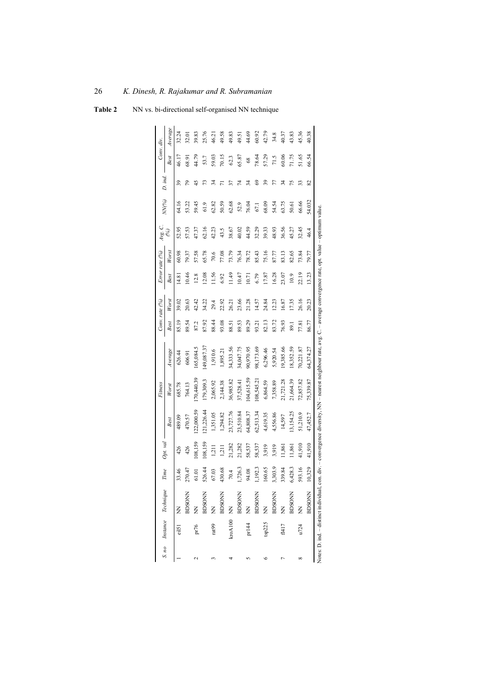|            | S. no Instance Technique | Time    | Opt. val        |            | Fitness      |                                                                                                                                                                       |       | Conv. rate (%) |       | Error rate (%) | Avg. C.               | NN(%)  | D. ind. | Conv. div. |         |
|------------|--------------------------|---------|-----------------|------------|--------------|-----------------------------------------------------------------------------------------------------------------------------------------------------------------------|-------|----------------|-------|----------------|-----------------------|--------|---------|------------|---------|
|            |                          |         |                 | Best       | Worst        | Average                                                                                                                                                               | Best  | Worst          | Best  | Worst          | $\mathcal{C}_{\!\!0}$ |        |         | Best       | Average |
| eil51 NN   |                          | 33.46   | 426             | 489.09     | 685.78       | 626.44                                                                                                                                                                | 85.19 | 39.02          | 14.81 | 60.98          | 52.95                 | 64.16  | 39      | 46.17      | 32.24   |
|            | <b>BDSONN</b>            | 270.47  | 426             | 470.57     | 764.13       | 606.91                                                                                                                                                                | 89.54 | 20.63          | 10.46 | 79.37          | 57.53                 | 53.22  | 2       | 68.91      | 32.01   |
| pr76 NN    |                          | 61.01   | 108,159         | 122,000.59 | [70, 440.39] | 165,084.5                                                                                                                                                             | 87.2  | 42.42          | 12.8  | 57.58          | 47.37                 | 59.45  | ₩       | 44.79      | 39.83   |
|            | <b>BDSONN</b>            | 526.44  | 108,159         | 21,226.44  | 179,309.3    | 149,087.37                                                                                                                                                            | 87.92 | 34.22          | 12.08 | 65.78          | 62.16                 | 61.9   | 73      | 53.7       | 25.76   |
| rat99 NN   |                          | 67.03   | $\frac{1}{2}$   | 1,351.05   | 2,065.92     | 1,910.6                                                                                                                                                               | 88.44 | 29.4           | 11.56 | 70.6           | 42.23                 | 62.82  | 24      | 59.03      | 46.21   |
|            | <b>BDSONN</b>            | 430.68  | $\overline{13}$ | 1,294.82   | 2,144.38     | 1,895.21                                                                                                                                                              | 93.08 | 22.92          | 6.92  | 77.08          | 43.5                  | 50.59  |         | 70.15      | 49.58   |
| kroA100 NN |                          | 70.4    | 21,282          | 23,727.76  | 36,985.82    | 34,333.56                                                                                                                                                             | 88.51 | 26.21          | 11.49 | 73.79          | 38.67                 | 62.68  | 57      | 62.3       | 49.83   |
|            | <b>BDSONN</b>            | 1,726.3 | 21,282          | 23,510.84  | 37,528.41    | 34,047.75                                                                                                                                                             | 89.53 | 23.66          | 10.47 | 76.34          | 40.02                 | 52.9   | 74      | 65.87      | 49.51   |
| pr144 NN   |                          | 94.08   | 58,537          | 64,808.37  | 104,615.59   | 90,970.95                                                                                                                                                             | 89.29 | 21.28          | 10.71 | 78.72          | 44.59                 | 76.04  | z       | $^{68}$    | 44.69   |
|            | <b>BDSONN</b>            | 1,192.3 | 58,537          | 62,513.34  | 108,545.21   | 98,173.69                                                                                                                                                             | 93.21 | 14.57          | 6.79  | 85.43          | 32.29                 | 67.1   | 3       | 78.64      | 60.92   |
| tsp225     | $\widetilde{\Xi}$        | 160.65  | 3,919           | 4,619.35   | 6,864.59     | 6,296.46                                                                                                                                                              | 82.13 | 24.84          | 17.87 | 75.16          | 39.33                 | 68.09  | 39      | 57.29      | 42.79   |
|            | <b>BDSONN</b>            | ,303.9  | 3,919           | 4,556.86   | 7,358.89     | 5,920.54                                                                                                                                                              | 83.72 | 12.23          | 16.28 | 87.77          | 48.93                 | 54.54  |         | 71.5       | 34.8    |
|            | f1417 NN                 | 339.84  | 1,861           | 14,597     | 21,721.28    | 19,385.66                                                                                                                                                             | 76.93 | 16.87          | 23.07 | 83.13          | 36.56                 | 63.75  | र्ज़    | 60.06      | 40.37   |
|            | <b>RDSONN</b>            | 6,428.3 | 11,861          | 13,154.25  | 21,664.39    | 18,352.59                                                                                                                                                             | 89.1  | 17.35          | 10.9  | 82.65          | 45.27                 | 50.61  | 51      | 71.75      | 43.83   |
|            | u724 NN                  | 593.16  | 41,910          | 51,210.9   | 72,857.82    | 70,221.87                                                                                                                                                             | 77.81 | 26.16          | 22.19 | 73.84          | 32.45                 | 66.66  | 33      | 51.65      | 45.36   |
|            | <b>BDSONN</b>            | 10,329  | 41,910          | 47,452.7   | 75,339.87    | 64,374.27                                                                                                                                                             | 86.77 | 20.23          | 13.23 | 79.77          | 46.4                  | 54.032 | 2       | 66.54      | 40.38   |
|            |                          |         |                 |            |              | Notes: D. ind. - distinct individual, con. div. - convergence diversity, NN - nearest neighbour rate, avg. C. - average convergence rate, opt. value - optimum value. |       |                |       |                |                       |        |         |            |         |

| Table 2 | NN vs. bi-directional self-organised NN technique |  |  |
|---------|---------------------------------------------------|--|--|
|---------|---------------------------------------------------|--|--|

į. ິ  $\bar{5}$ ng.  $\tilde{a}_5$ ನ<br>.` le⊑<br>⊟  $y,1$ ige<br>L  $\mathbf{d}$ ,  $\mathbf{c}$ 

## 26 *K. Dinesh, R. Rajakumar and R. Subramanian*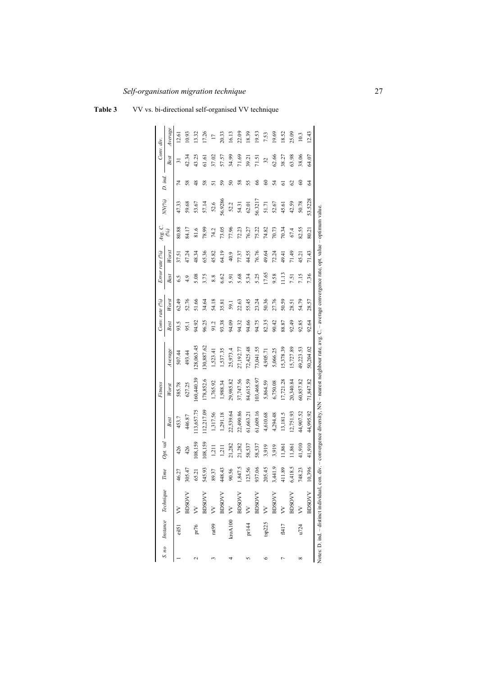|            | S. no Instance Technique | Time    | Opt. val |            | Fitness    |                                                                                                                                                                      |       | Conv. rate (%) |       | Error rate (%) | Avg. C. | NN(%)   | D. ind.       | Conv. div. |         |
|------------|--------------------------|---------|----------|------------|------------|----------------------------------------------------------------------------------------------------------------------------------------------------------------------|-------|----------------|-------|----------------|---------|---------|---------------|------------|---------|
|            |                          |         |          | Best       | Worst      | Average                                                                                                                                                              | Best  | Worst          | Best  | Worst          | E       |         |               | Best       | Average |
| eil51      | $\geq$                   | 46.27   | 426      | 453.7      | 585.78     | 507.44                                                                                                                                                               | 93.5  | 62.49          | 6.5   | 37.51          | 80.88   | 47.33   | 74            | ಸ          | 12.61   |
|            | <b>BDSOVV</b>            | 305.47  | 426      | 446.87     | 627.25     | 493.44                                                                                                                                                               | 95.1  | 52.76          | 4.9   | 47.24          | 84.17   | 59.68   | 58            | 42.34      | 10.93   |
| pr76       | $\geq$                   | 65.21   | 108,159  | 113,657.75 | 60,440.39  | 128,063.45                                                                                                                                                           | 94.92 | 51.66          | 5.08  | 48.34          | 81.6    | 53.67   | $\frac{8}{4}$ | 43.25      | 13.32   |
|            | <b>BDSOVV</b>            | 545.93  | 108,159  | 12,217.09  | 178,852.6  | 130,887.62                                                                                                                                                           | 96.25 | 34.64          | 3.75  | 65.36          | 78.99   | 57.14   | 58            | 61.61      | 17.26   |
| rat99      | $\overline{\mathsf{S}}$  | 89.37   | 1,211    | 1,317.56   | 1,765.92   | 1,523.41                                                                                                                                                             | 91.2  | 54.18          | 8.8   | 45.82          | 74.2    | 52.6    | 5             | 37.02      | $\Box$  |
|            | <b>BDSOVV</b>            | 448.43  | 1,211    | 1,291.18   | 1,988.34   | 1,537.35                                                                                                                                                             | 93.38 | 35.81          | 6.62  | 64.19          | 73.05   | 6.9286  | 59            | 57.57      | 20.33   |
| kroA100 VV |                          | 90.56   | 21,282   | 22,539.64  | 29,985.82  | 25,973.4                                                                                                                                                             | 94.09 | 59.1           | 5.91  | 40.9           | 77.96   | 52.2    | ິ             | 34.99      | 16.13   |
|            | <b>AVOSCIE</b>           | ,847.5  | 21,282   | 22,490.86  | 37,747.56  | 27,192.77                                                                                                                                                            | 94.32 | 22.63          | 5.68  | 77.37          | 72.23   | 54.31   | 58            | 71.69      | 22.09   |
| pr144      | $\mathsf{X}$             | 123.56  | 58,537   | 61,663.21  | 84,615.59  | 72,425.48                                                                                                                                                            | 94.66 | 55.45          | 5.34  | 44.55          | 76.27   | 62.01   | 55            | 39.21      | 18.39   |
|            | <b>AVOSCIE</b>           | 937.06  | 58,537   | 61,609.16  | 103,468.97 | 73,041.55                                                                                                                                                            | 94.75 | 23.24          | 5.25  | 76.76          | 75.22   | 56.3217 | 8             | 71.51      | 19.53   |
| tsp225     | $\ddot{z}$               | 205.45  | 3,919    | 4,610.68   | 5,864.59   | 4,905.71                                                                                                                                                             | 82.35 | 50.36          | 17.65 | 49.64          | 74.82   | 51.71   | 3             | 32         | 7.53    |
|            | <b>BDSOVV</b>            | 1,441.9 | 3,919    | 4,294.48   | 6,750.08   | 5,066.25                                                                                                                                                             | 90.42 | 27.76          | 9.58  | 72.24          | 70.73   | 52.67   | 24            | 62.66      | 19.69   |
| f1417      | $\zeta$                  | 411.89  | 1,861    | 13,181.5   | 17,721.28  | 15,378.39                                                                                                                                                            | 88.87 | 50.59          | 11.13 | 49.41          | 70.34   | 45.61   | ಠ             | 38.27      | 18.52   |
|            | <b>BDSOVV</b>            | ,418.5  | 1,861    | 12,751.93  | 20,340.84  | 5,727.89                                                                                                                                                             | 92.49 | 28.51          | 7.51  | 71.49          | 67.4    | 42.59   | 3             | 63.98      | 25.09   |
| u724       | $\triangleright$         | 748.23  | 41,910   | 44,907.52  | 60,857.82  | 49,223.53                                                                                                                                                            | 92.85 | 54.79          | 7.15  | 45.21          | 82.55   | 50.78   | 3             | 38.06      | 10.3    |
|            | <b>AVOSOR</b>            | 10,396  | 41,910   | 44,995.92  | 71,847.82  | 50,204.02                                                                                                                                                            | 92.64 | 28.57          | 7.36  | 71.43          | 80.21   | 53.5228 | 2             | 64.07      | 12.43   |
|            |                          |         |          |            |            | Notes: D. ind. - distinct individual, con. div. - convergence diversity, NN - nearest neighbour rate, avg. C. - average convergence rate, opt. value - optimum value |       |                |       |                |         |         |               |            |         |
|            |                          |         |          |            |            |                                                                                                                                                                      |       |                |       |                |         |         |               |            |         |

| <b>Table 3</b> | VV vs. bi-directional self-organised VV technique |
|----------------|---------------------------------------------------|
|----------------|---------------------------------------------------|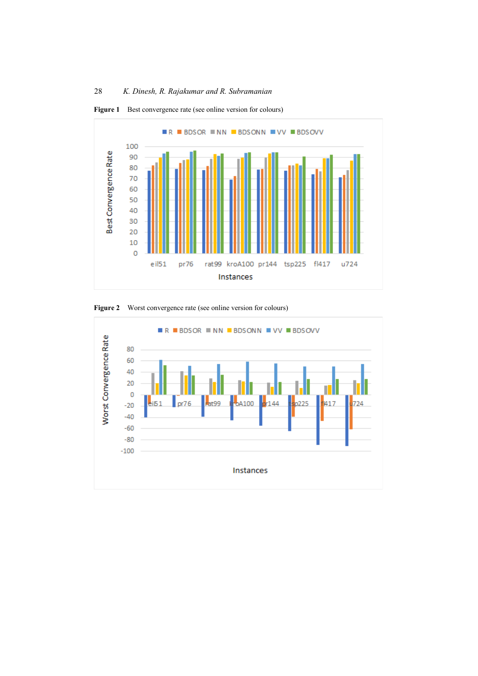

Figure 1 Best convergence rate (see online version for colours)



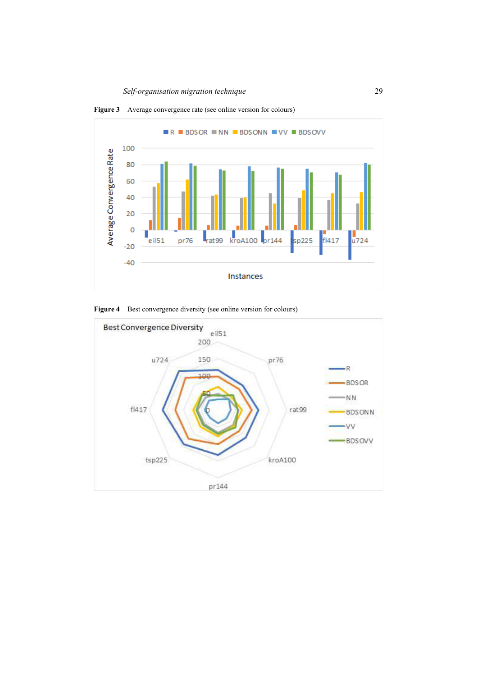

**Figure 3** Average convergence rate (see online version for colours)

Figure 4 Best convergence diversity (see online version for colours)

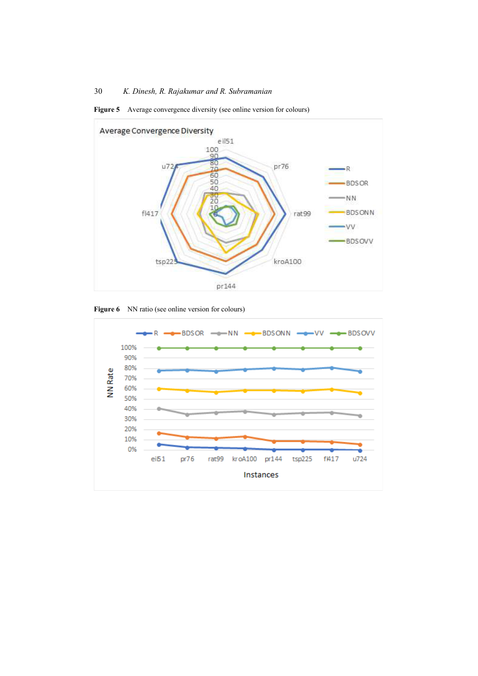





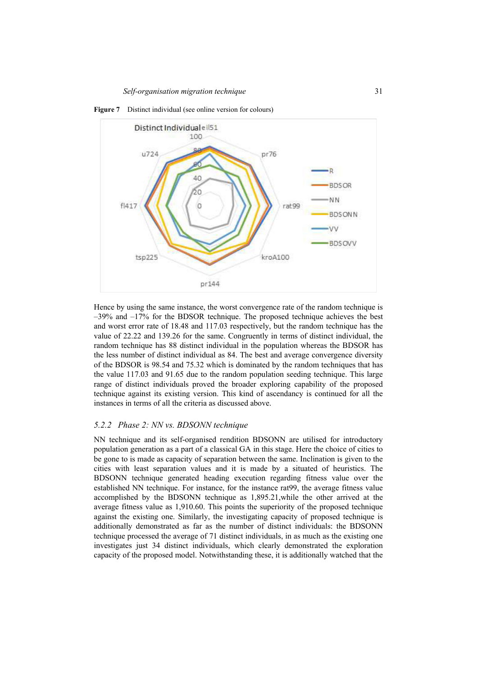

**Figure 7** Distinct individual (see online version for colours)

Hence by using the same instance, the worst convergence rate of the random technique is –39% and –17% for the BDSOR technique. The proposed technique achieves the best and worst error rate of 18.48 and 117.03 respectively, but the random technique has the value of 22.22 and 139.26 for the same. Congruently in terms of distinct individual, the random technique has 88 distinct individual in the population whereas the BDSOR has the less number of distinct individual as 84. The best and average convergence diversity of the BDSOR is 98.54 and 75.32 which is dominated by the random techniques that has the value 117.03 and 91.65 due to the random population seeding technique. This large range of distinct individuals proved the broader exploring capability of the proposed technique against its existing version. This kind of ascendancy is continued for all the instances in terms of all the criteria as discussed above.

## *5.2.2 Phase 2: NN vs. BDSONN technique*

NN technique and its self-organised rendition BDSONN are utilised for introductory population generation as a part of a classical GA in this stage. Here the choice of cities to be gone to is made as capacity of separation between the same. Inclination is given to the cities with least separation values and it is made by a situated of heuristics. The BDSONN technique generated heading execution regarding fitness value over the established NN technique. For instance, for the instance rat99, the average fitness value accomplished by the BDSONN technique as 1,895.21,while the other arrived at the average fitness value as 1,910.60. This points the superiority of the proposed technique against the existing one. Similarly, the investigating capacity of proposed technique is additionally demonstrated as far as the number of distinct individuals: the BDSONN technique processed the average of 71 distinct individuals, in as much as the existing one investigates just 34 distinct individuals, which clearly demonstrated the exploration capacity of the proposed model. Notwithstanding these, it is additionally watched that the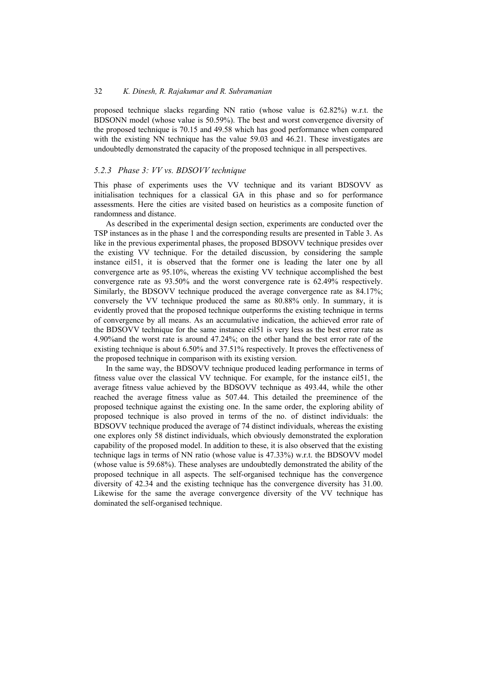proposed technique slacks regarding NN ratio (whose value is 62.82%) w.r.t. the BDSONN model (whose value is 50.59%). The best and worst convergence diversity of the proposed technique is 70.15 and 49.58 which has good performance when compared with the existing NN technique has the value 59.03 and 46.21. These investigates are undoubtedly demonstrated the capacity of the proposed technique in all perspectives.

### *5.2.3 Phase 3: VV vs. BDSOVV technique*

This phase of experiments uses the VV technique and its variant BDSOVV as initialisation techniques for a classical GA in this phase and so for performance assessments. Here the cities are visited based on heuristics as a composite function of randomness and distance.

As described in the experimental design section, experiments are conducted over the TSP instances as in the phase 1 and the corresponding results are presented in Table 3. As like in the previous experimental phases, the proposed BDSOVV technique presides over the existing VV technique. For the detailed discussion, by considering the sample instance eil51, it is observed that the former one is leading the later one by all convergence arte as 95.10%, whereas the existing VV technique accomplished the best convergence rate as 93.50% and the worst convergence rate is 62.49% respectively. Similarly, the BDSOVV technique produced the average convergence rate as 84.17%; conversely the VV technique produced the same as 80.88% only. In summary, it is evidently proved that the proposed technique outperforms the existing technique in terms of convergence by all means. As an accumulative indication, the achieved error rate of the BDSOVV technique for the same instance eil51 is very less as the best error rate as 4.90%and the worst rate is around 47.24%; on the other hand the best error rate of the existing technique is about 6.50% and 37.51% respectively. It proves the effectiveness of the proposed technique in comparison with its existing version.

In the same way, the BDSOVV technique produced leading performance in terms of fitness value over the classical VV technique. For example, for the instance eil51, the average fitness value achieved by the BDSOVV technique as 493.44, while the other reached the average fitness value as 507.44. This detailed the preeminence of the proposed technique against the existing one. In the same order, the exploring ability of proposed technique is also proved in terms of the no. of distinct individuals: the BDSOVV technique produced the average of 74 distinct individuals, whereas the existing one explores only 58 distinct individuals, which obviously demonstrated the exploration capability of the proposed model. In addition to these, it is also observed that the existing technique lags in terms of NN ratio (whose value is 47.33%) w.r.t. the BDSOVV model (whose value is 59.68%). These analyses are undoubtedly demonstrated the ability of the proposed technique in all aspects. The self-organised technique has the convergence diversity of 42.34 and the existing technique has the convergence diversity has 31.00. Likewise for the same the average convergence diversity of the VV technique has dominated the self-organised technique.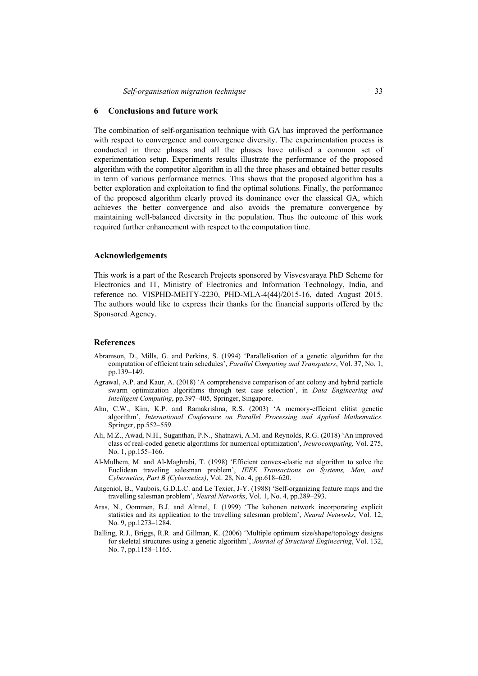#### **6 Conclusions and future work**

The combination of self-organisation technique with GA has improved the performance with respect to convergence and convergence diversity. The experimentation process is conducted in three phases and all the phases have utilised a common set of experimentation setup. Experiments results illustrate the performance of the proposed algorithm with the competitor algorithm in all the three phases and obtained better results in term of various performance metrics. This shows that the proposed algorithm has a better exploration and exploitation to find the optimal solutions. Finally, the performance of the proposed algorithm clearly proved its dominance over the classical GA, which achieves the better convergence and also avoids the premature convergence by maintaining well-balanced diversity in the population. Thus the outcome of this work required further enhancement with respect to the computation time.

#### **Acknowledgements**

This work is a part of the Research Projects sponsored by Visvesvaraya PhD Scheme for Electronics and IT, Ministry of Electronics and Information Technology, India, and reference no. VISPHD-MEITY-2230, PHD-MLA-4(44)/2015-16, dated August 2015. The authors would like to express their thanks for the financial supports offered by the Sponsored Agency.

## **References**

- Abramson, D., Mills, G. and Perkins, S. (1994) 'Parallelisation of a genetic algorithm for the computation of efficient train schedules', *Parallel Computing and Transputers*, Vol. 37, No. 1, pp.139–149.
- Agrawal, A.P. and Kaur, A. (2018) 'A comprehensive comparison of ant colony and hybrid particle swarm optimization algorithms through test case selection', in *Data Engineering and Intelligent Computing*, pp.397–405, Springer, Singapore.
- Ahn, C.W., Kim, K.P. and Ramakrishna, R.S. (2003) 'A memory-efficient elitist genetic algorithm', *International Conference on Parallel Processing and Applied Mathematics*. Springer, pp.552–559.
- Ali, M.Z., Awad, N.H., Suganthan, P.N., Shatnawi, A.M. and Reynolds, R.G. (2018) 'An improved class of real-coded genetic algorithms for numerical optimization', *Neurocomputing*, Vol. 275, No. 1, pp.155–166.
- Al-Mulhem, M. and Al-Maghrabi, T. (1998) 'Efficient convex-elastic net algorithm to solve the Euclidean traveling salesman problem', *IEEE Transactions on Systems, Man, and Cybernetics, Part B (Cybernetics)*, Vol. 28, No. 4, pp.618–620.
- Angeniol, B., Vaubois, G.D.L.C. and Le Texier, J-Y. (1988) 'Self-organizing feature maps and the travelling salesman problem', *Neural Networks*, Vol. 1, No. 4, pp.289–293.
- Aras, N., Oommen, B.J. and Altınel, I. (1999) 'The kohonen network incorporating explicit statistics and its application to the travelling salesman problem', *Neural Networks*, Vol. 12, No. 9, pp.1273–1284.
- Balling, R.J., Briggs, R.R. and Gillman, K. (2006) 'Multiple optimum size/shape/topology designs for skeletal structures using a genetic algorithm', *Journal of Structural Engineering*, Vol. 132, No. 7, pp.1158–1165.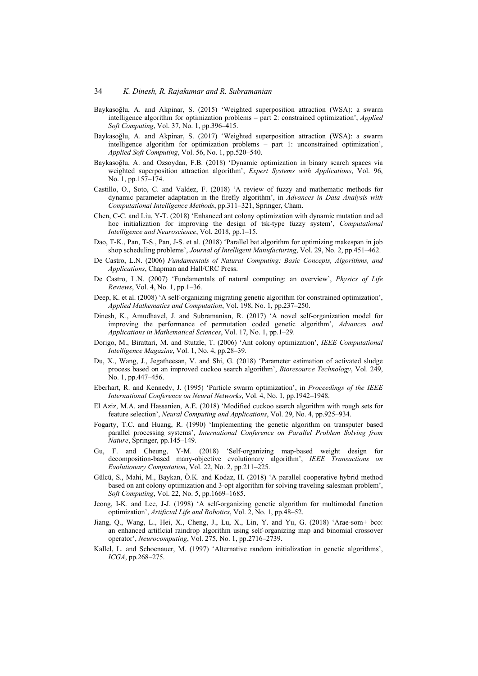- Baykasoğlu, A. and Akpinar, S. (2015) 'Weighted superposition attraction (WSA): a swarm intelligence algorithm for optimization problems – part 2: constrained optimization', *Applied Soft Computing*, Vol. 37, No. 1, pp.396–415.
- Baykasoğlu, A. and Akpinar, S. (2017) 'Weighted superposition attraction (WSA): a swarm intelligence algorithm for optimization problems – part 1: unconstrained optimization', *Applied Soft Computing*, Vol. 56, No. 1, pp.520–540.
- Baykasoğlu, A. and Ozsoydan, F.B. (2018) 'Dynamic optimization in binary search spaces via weighted superposition attraction algorithm', *Expert Systems with Applications*, Vol. 96, No. 1, pp.157–174.
- Castillo, O., Soto, C. and Valdez, F. (2018) 'A review of fuzzy and mathematic methods for dynamic parameter adaptation in the firefly algorithm', in *Advances in Data Analysis with Computational Intelligence Methods*, pp.311–321, Springer, Cham.
- Chen, C-C. and Liu, Y-T. (2018) 'Enhanced ant colony optimization with dynamic mutation and ad hoc initialization for improving the design of tsk-type fuzzy system', *Computational Intelligence and Neuroscience*, Vol. 2018, pp.1–15.
- Dao, T-K., Pan, T-S., Pan, J-S. et al. (2018) 'Parallel bat algorithm for optimizing makespan in job shop scheduling problems', *Journal of Intelligent Manufacturing*, Vol. 29, No. 2, pp.451–462.
- De Castro, L.N. (2006) *Fundamentals of Natural Computing: Basic Concepts, Algorithms, and Applications*, Chapman and Hall/CRC Press.
- De Castro, L.N. (2007) 'Fundamentals of natural computing: an overview', *Physics of Life Reviews*, Vol. 4, No. 1, pp.1–36.
- Deep, K. et al. (2008) 'A self-organizing migrating genetic algorithm for constrained optimization', *Applied Mathematics and Computation*, Vol. 198, No. 1, pp.237–250.
- Dinesh, K., Amudhavel, J. and Subramanian, R. (2017) 'A novel self-organization model for improving the performance of permutation coded genetic algorithm', *Advances and Applications in Mathematical Sciences*, Vol. 17, No. 1, pp.1–29.
- Dorigo, M., Birattari, M. and Stutzle, T. (2006) 'Ant colony optimization', *IEEE Computational Intelligence Magazine*, Vol. 1, No. 4, pp.28–39.
- Du, X., Wang, J., Jegatheesan, V. and Shi, G. (2018) 'Parameter estimation of activated sludge process based on an improved cuckoo search algorithm', *Bioresource Technology*, Vol. 249, No. 1, pp.447–456.
- Eberhart, R. and Kennedy, J. (1995) 'Particle swarm optimization', in *Proceedings of the IEEE International Conference on Neural Networks*, Vol. 4, No. 1, pp.1942–1948.
- El Aziz, M.A. and Hassanien, A.E. (2018) 'Modified cuckoo search algorithm with rough sets for feature selection', *Neural Computing and Applications*, Vol. 29, No. 4, pp.925–934.
- Fogarty, T.C. and Huang, R. (1990) 'Implementing the genetic algorithm on transputer based parallel processing systems', *International Conference on Parallel Problem Solving from Nature*, Springer, pp.145–149.
- Gu, F. and Cheung, Y-M. (2018) 'Self-organizing map-based weight design for decomposition-based many-objective evolutionary algorithm', *IEEE Transactions on Evolutionary Computation*, Vol. 22, No. 2, pp.211–225.
- Gülcü, S., Mahi, M., Baykan, Ö.K. and Kodaz, H. (2018) 'A parallel cooperative hybrid method based on ant colony optimization and 3-opt algorithm for solving traveling salesman problem', *Soft Computing*, Vol. 22, No. 5, pp.1669–1685.
- Jeong, I-K. and Lee, J-J. (1998) 'A self-organizing genetic algorithm for multimodal function optimization', *Artificial Life and Robotics*, Vol. 2, No. 1, pp.48–52.
- Jiang, Q., Wang, L., Hei, X., Cheng, J., Lu, X., Lin, Y. and Yu, G. (2018) 'Arae-som+ bco: an enhanced artificial raindrop algorithm using self-organizing map and binomial crossover operator', *Neurocomputing*, Vol. 275, No. 1, pp.2716–2739.
- Kallel, L. and Schoenauer, M. (1997) 'Alternative random initialization in genetic algorithms', *ICGA*, pp.268–275.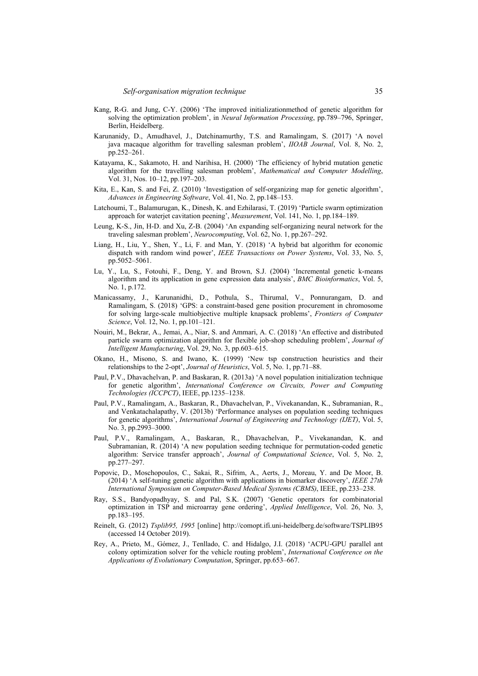- Kang, R-G. and Jung, C-Y. (2006) 'The improved initializationmethod of genetic algorithm for solving the optimization problem', in *Neural Information Processing*, pp.789–796, Springer, Berlin, Heidelberg.
- Karunanidy, D., Amudhavel, J., Datchinamurthy, T.S. and Ramalingam, S. (2017) 'A novel java macaque algorithm for travelling salesman problem', *IIOAB Journal*, Vol. 8, No. 2, pp.252–261.
- Katayama, K., Sakamoto, H. and Narihisa, H. (2000) 'The efficiency of hybrid mutation genetic algorithm for the travelling salesman problem', *Mathematical and Computer Modelling*, Vol. 31, Nos. 10–12, pp.197–203.
- Kita, E., Kan, S. and Fei, Z. (2010) 'Investigation of self-organizing map for genetic algorithm', *Advances in Engineering Software*, Vol. 41, No. 2, pp.148–153.
- Latchoumi, T., Balamurugan, K., Dinesh, K. and Ezhilarasi, T. (2019) 'Particle swarm optimization approach for waterjet cavitation peening', *Measurement*, Vol. 141, No. 1, pp.184–189.
- Leung, K-S., Jin, H-D. and Xu, Z-B. (2004) 'An expanding self-organizing neural network for the traveling salesman problem', *Neurocomputing*, Vol. 62, No. 1, pp.267–292.
- Liang, H., Liu, Y., Shen, Y., Li, F. and Man, Y. (2018) 'A hybrid bat algorithm for economic dispatch with random wind power', *IEEE Transactions on Power Systems*, Vol. 33, No. 5, pp.5052–5061.
- Lu, Y., Lu, S., Fotouhi, F., Deng, Y. and Brown, S.J. (2004) 'Incremental genetic k-means algorithm and its application in gene expression data analysis', *BMC Bioinformatics*, Vol. 5, No. 1, p.172.
- Manicassamy, J., Karunanidhi, D., Pothula, S., Thirumal, V., Ponnurangam, D. and Ramalingam, S. (2018) 'GPS: a constraint-based gene position procurement in chromosome for solving large-scale multiobjective multiple knapsack problems', *Frontiers of Computer Science*, Vol. 12, No. 1, pp.101–121.
- Nouiri, M., Bekrar, A., Jemai, A., Niar, S. and Ammari, A. C. (2018) 'An effective and distributed particle swarm optimization algorithm for flexible job-shop scheduling problem', *Journal of Intelligent Manufacturing*, Vol. 29, No. 3, pp.603–615.
- Okano, H., Misono, S. and Iwano, K. (1999) 'New tsp construction heuristics and their relationships to the 2-opt', *Journal of Heuristics*, Vol. 5, No. 1, pp.71–88.
- Paul, P.V., Dhavachelvan, P. and Baskaran, R. (2013a) 'A novel population initialization technique for genetic algorithm', *International Conference on Circuits, Power and Computing Technologies (ICCPCT)*, IEEE, pp.1235–1238.
- Paul, P.V., Ramalingam, A., Baskaran, R., Dhavachelvan, P., Vivekanandan, K., Subramanian, R., and Venkatachalapathy, V. (2013b) 'Performance analyses on population seeding techniques for genetic algorithms', *International Journal of Engineering and Technology (IJET)*, Vol. 5, No. 3, pp.2993–3000.
- Paul, P.V., Ramalingam, A., Baskaran, R., Dhavachelvan, P., Vivekanandan, K. and Subramanian, R. (2014) 'A new population seeding technique for permutation-coded genetic algorithm: Service transfer approach', *Journal of Computational Science*, Vol. 5, No. 2, pp.277–297.
- Popovic, D., Moschopoulos, C., Sakai, R., Sifrim, A., Aerts, J., Moreau, Y. and De Moor, B. (2014) 'A self-tuning genetic algorithm with applications in biomarker discovery', *IEEE 27th International Symposium on Computer-Based Medical Systems (CBMS)*, IEEE, pp.233–238.
- Ray, S.S., Bandyopadhyay, S. and Pal, S.K. (2007) 'Genetic operators for combinatorial optimization in TSP and microarray gene ordering', *Applied Intelligence*, Vol. 26, No. 3, pp.183–195.
- Reinelt, G. (2012) *Tsplib95, 1995* [online] http://comopt.ifi.uni-heidelberg.de/software/TSPLIB95 (accessed 14 October 2019).
- Rey, A., Prieto, M., Gómez, J., Tenllado, C. and Hidalgo, J.I. (2018) 'ACPU-GPU parallel ant colony optimization solver for the vehicle routing problem', *International Conference on the Applications of Evolutionary Computation*, Springer, pp.653–667.